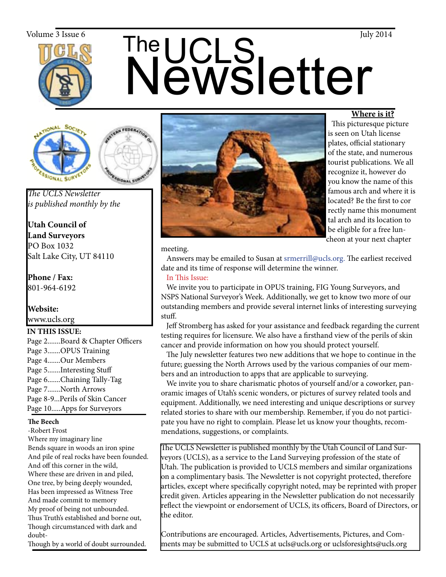

# The UCLS<br>Newsletter  $\frac{V_{\text{olume 3 Issue 6}}}{V_{\text{期}}}\$  The  $\prod_{\text{rule}}$





*The UCLS Newsletter is published monthly by the*

**Utah Council of Land Surveyors** PO Box 1032 Salt Lake City, UT 84110

**Phone / Fax:**  801-964-6192

# **Website:** www.ucls.org

# **IN THIS ISSUE:**

Page 2.......Board & Chapter Officers Page 3.......OPUS Training Page 4.......Our Members Page 5.......Interesting Stuff Page 6.......Chaining Tally-Tag Page 7.......North Arrows Page 8-9...Perils of Skin Cancer Page 10.....Apps for Surveyors

### **The Beech**

-Robert Frost

Where my imaginary line Bends square in woods an iron spine And pile of real rocks have been founded. And off this corner in the wild, Where these are driven in and piled, One tree, by being deeply wounded, Has been impressed as Witness Tree And made commit to memory My proof of being not unbounded. Thus Truth's established and borne out, Though circumstanced with dark and doubt-

Though by a world of doubt surrounded.



# **Where is it?**

 This picturesque picture is seen on Utah license plates, official stationary of the state, and numerous tourist publications. We all recognize it, however do you know the name of this famous arch and where it is located? Be the first to cor rectly name this monument tal arch and its location to be eligible for a free luncheon at your next chapter

### meeting.

 Answers may be emailed to Susan at srmerrill@ucls.org. The earliest received date and its time of response will determine the winner.

# In This Issue:

 We invite you to participate in OPUS training, FIG Young Surveyors, and NSPS National Surveyor's Week. Additionally, we get to know two more of our outstanding members and provide several internet links of interesting surveying stuff.

 Jeff Stromberg has asked for your assistance and feedback regarding the current testing requires for licensure. We also have a firsthand view of the perils of skin cancer and provide information on how you should protect yourself.

 The July newsletter features two new additions that we hope to continue in the future; guessing the North Arrows used by the various companies of our members and an introduction to apps that are applicable to surveying.

 We invite you to share charismatic photos of yourself and/or a coworker, panoramic images of Utah's scenic wonders, or pictures of survey related tools and equipment. Additionally, we need interesting and unique descriptions or survey related stories to share with our membership. Remember, if you do not participate you have no right to complain. Please let us know your thoughts, recommendations, suggestions, or complaints.

The UCLS Newsletter is published monthly by the Utah Council of Land Surveyors (UCLS), as a service to the Land Surveying profession of the state of Utah. The publication is provided to UCLS members and similar organizations on a complimentary basis. The Newsletter is not copyright protected, therefore articles, except where specifically copyright noted, may be reprinted with proper credit given. Articles appearing in the Newsletter publication do not necessarily reflect the viewpoint or endorsement of UCLS, its officers, Board of Directors, or the editor.

Contributions are encouraged. Articles, Advertisements, Pictures, and Comments may be submitted to UCLS at ucls@ucls.org or uclsforesights@ucls.org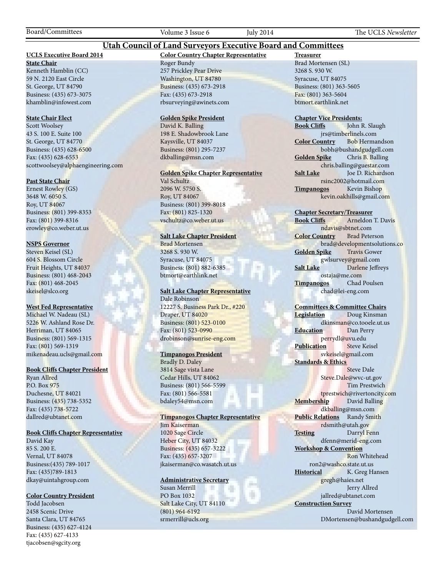### **Utah Council of Land Surveyors Executive Board and Committees**

### **UCLS Executive Board 2014**

**State Chair** Kenneth Hamblin (CC) 59 N. 2120 East Circle St. George, UT 84790 Business: (435) 673-3075 khamblin@infowest.com

### **State Chair Elect**

Scott Woolsey 43 S. 100 E. Suite 100 St. George, UT 84770 Business: (435) 628-6500 Fax: (435) 628-6553 scottwoolsey@alphaengineering.com

### **Past State Chair**

Ernest Rowley (GS) 3648 W. 6050 S. Roy, UT 84067 Business: (801) 399-8353 Fax: (801) 399-8316 erowley@co.weber.ut.us

### **NSPS Governor**

Steven Keisel (SL) 604 S. Blossom Circle Fruit Heights, UT 84037 Business: (801) 468-2043 Fax: (801) 468-2045 skeisel@slco.org

#### **West Fed Representative**

Michael W. Nadeau (SL) 5226 W. Ashland Rose Dr. Herriman, UT 84065 Business: (801) 569-1315 Fax: (801) 569-1319 mikenadeau.ucls@gmail.com

### **Book Cliffs Chapter President**

Ryan Allred P.O. Box 975 Duchesne, UT 84021 Business: (435) 738-5352 Fax: (435) 738-5722 dallred@ubtanet.com

### **Book Cliffs Chapter Representative**

David Kay 85 S. 200 E. Vernal, UT 84078 Business:(435) 789-1017 Fax: (435)789-1813 dkay@uintahgroup.com

### **Color Country President**

Todd Jacobsen 2458 Scenic Drive Santa Clara, UT 84765 Business: (435) 627-4124 Fax: (435) 627-4133 tjacobsen@sgcity.org

# **Color Country Chapter Representative** Roger Bundy

257 Prickley Pear Drive Washington, UT 84780 Business: (435) 673-2918 Fax: (435) 673-2918 rbsurveying@awinets.com

### **Golden Spike President**

David K. Balling 198 E. Shadowbrook Lane Kaysville, UT 84037 Business: (801) 295-7237 dkballing@msn.com

### **Golden Spike Chapter Representative**

Val Schultz 2096 W. 5750 S. Roy, UT 84067 Business: (801) 399-8018 Fax: (801) 825-1320 vschultz@co.weber.ut.us

### **Salt Lake Chapter President**

Brad Mortensen 3268 S. 930 W. Syracuse, UT 84075 Business: (801) 882-6385 btmort@earthlink.net

### **Salt Lake Chapter Representative** Dale Robinson

12227 S. Business Park Dr., #220 Draper, UT 84020 Business: (801) 523-0100 Fax: (801) 523-0990 drobinson@sunrise-eng.com

### **Timpanogos President**

Bradly D. Daley 3814 Sage vista Lane Cedar Hills, UT 84062 Business: (801) 566-5599 Fax: (801) 566-5581 bdaley54@msn.com

### **Timpanogos Chapter Representative**

Jim Kaiserman 1020 Sage Circle Heber City, UT 84032 Business: (435) 657-3222 Fax: (435) 657-3207 jkaiserman@co.wasatch.ut.us

### **Administrative Secretary**

Susan Merrill PO Box 1032 Salt Lake City, UT 84110 (801) 964-6192 srmerrill@ucls.org

**Treasurer** Brad Mortensen (SL) 3268 S. 930 W. Syracuse, UT 84075 Business: (801) 363-5605 Fax: (801) 363-5604 btmort.earthlink.net

# **Chapter Vice Presidents:**

John R. Slaugh jrs@timberlinels.com **Color Country** Bob Hermandson bobh@bushandgudgell.com **Golden Spike** Chris B. Balling chris.balling@guestar.com **Salt Lake** Joe D. Richardson rsinc2002@hotmail.com **Timpanogos** Kevin Bishop kevin.oakhills@gmail.com

### **Chapter Secretary/Treasurer**

**Book Cliffs** Arneldon T. Davis ndavis@sbtnet.com **Color Country** Brad Peterson brad@developmentsolutions.co **Golden Spike** Travis Gower gwlsurvey@gmail.com **Salt Lake** Darlene Jeffreys ostaja@me.com **Timpanogos** Chad Poulsen chad@lei-eng.com

#### **Committees & Committee Chairs**

**Legislation** Doug Kinsman dkinsman@co.tooele.ut.us **Education** Dan Perry perrydl@uvu.edu **Publication** Steve Keisel svkeisel@gmail.com **Standards & Ethics** Steve Dale Steve.Dale@wvc-ut.gov Tim Prestwich tprestwich@rivertoncity.com **Membership** David Balling

dkballing@msn.com **Public Relations** Randy Smith rdsmith@utah.gov **Testing** Darryl Fenn dfenn@merid-eng.com

**Workshop & Convention** Ron Whitehead ron2@washco.state.ut.us **Historical** K. Greg Hansen gregh@haies.net

 Jerry Allred jallred@ubtanet.com **Construction Survey**

 David Mortensen DMortensen@bushandgudgell.com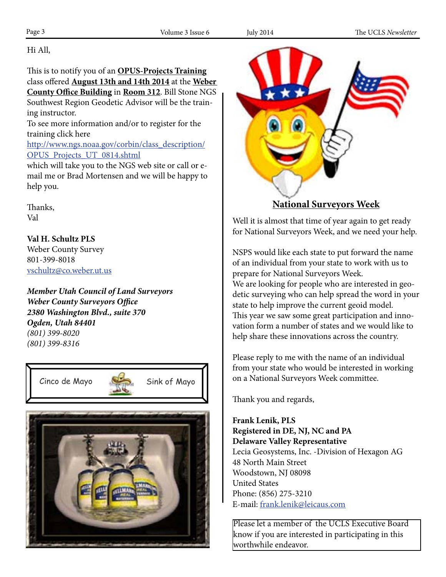Hi All, Page 17 Volume 16 Issue 5 May 2014 Tampa 16 Issue 5 May 2014 Tampa 16 Issue 5 May 2014 Tampa 16 Issue 5 May 2014 Tampa 16 Issue 5 May 2014 Tampa 16 Issue 5 May 2014 Tampa 16 Issue 5 May 2014 Tampa 16 Issue 5 May 2014 Tampa

This is to notify you of an **OPUS-Projects Training** class offered **August 13th and 14th 2014** at the Weber **County Office Building** in **Room 312**. Bill Stone NGS Southwest Region Geodetic Advisor will be the training instructor.  $\frac{3}{2}$ 

> To see more information and/or to register for the training click here

http://www.ngs.noaa.gov/corbin/class\_description/ OPUS\_Projects\_UT\_0814.shtml

which will take you to the NGS web site or call or email me or Brad Mortensen and we will be happy to help you.

> Thanks, Val

http://www.ngs.noaa.gov/OPUS/getDatasheet.jsp?PID=MZ0013&style=modern

**Val H. Schultz PLS** Weber County Survey 801-399-8018 that because the position called out on the position called out on the NGS dates in the NGS dates vschultz@co.weber.ut.us  $\mathbf{v}$ an I will alter the sensor to the report to the 12 can live control to the 12 can live control to the 12 can live

*Member Utah Council of Land Surveyors Weber County Surveyors Office 2380 Washington Blvd., suite 370 Ogden, Utah 84401* **(801) 399-8020 COPUS DB. I** have to submit my shared solution to  $\theta$ . If you would can find care to see the finished solution to  $\theta$ . If you would can find care to see the finished solution to  $\theta$ . If you would can f *(801) 399-8316*







**National Surveyors Week**

Well it is almost that time of year again to get ready for National Surveyors Week, and we need your help.

NSPS would like each state to put forward the name of an individual from your state to work with us to prepare for National Surveyors Week. We are looking for people who are interested in geodetic surveying who can help spread the word in your state to help improve the current geoid model. This year we saw some great participation and innovation form a number of states and we would like to help share these innovations across the country.

Please reply to me with the name of an individual from your state who would be interested in working on a National Surveyors Week committee.

Thank you and regards,

**Frank Lenik, PLS Registered in DE, NJ, NC and PA Delaware Valley Representative** Lecia Geosystems, Inc. -Division of Hexagon AG 48 North Main Street Woodstown, NJ 08098 United States Phone: (856) 275-3210 E-mail: frank.lenik@leicaus.com

Please let a member of the UCLS Executive Board know if you are interested in participating in this worthwhile endeavor.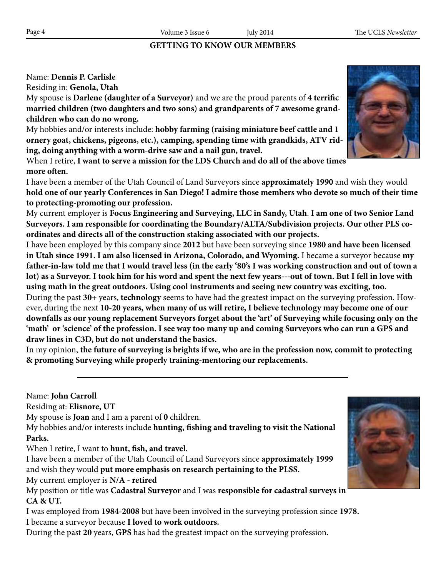# **GETTING TO KNOW OUR MEMBERS**

# Name: **Dennis P. Carlisle**

Residing in: **Genola, Utah**

My spouse is **Darlene (daughter of a Surveyor)** and we are the proud parents of **4 terrific married children (two daughters and two sons) and grandparents of 7 awesome grandchildren who can do no wrong.**

My hobbies and/or interests include: **hobby farming (raising miniature beef cattle and 1 ornery goat, chickens, pigeons, etc.), camping, spending time with grandkids, ATV riding, doing anything with a worm-drive saw and a nail gun, travel.**

When I retire, **I want to serve a mission for the LDS Church and do all of the above times more often.**

I have been a member of the Utah Council of Land Surveyors since **approximately 1990** and wish they would **hold one of our yearly Conferences in San Diego! I admire those members who devote so much of their time to protecting-promoting our profession.**

My current employer is **Focus Engineering and Surveying, LLC in Sandy, Utah**. **I am one of two Senior Land Surveyors. I am responsible for coordinating the Boundary/ALTA/Subdivision projects. Our other PLS coordinates and directs all of the construction staking associated with our projects.**

I have been employed by this company since **2012** but have been surveying since **1980 and have been licensed in Utah since 1991. I am also licensed in Arizona, Colorado, and Wyoming.** I became a surveyor because **my father-in-law told me that I would travel less (in the early '80's I was working construction and out of town a lot) as a Surveyor. I took him for his word and spent the next few years---out of town. But I fell in love with using math in the great outdoors. Using cool instruments and seeing new country was exciting, too.** During the past **30+** years, **technology** seems to have had the greatest impact on the surveying profession. However, during the next **10-20 years, when many of us will retire, I believe technology may become one of our downfalls as our young replacement Surveyors forget about the 'art' of Surveying while focusing only on the 'math' or 'science' of the profession. I see way too many up and coming Surveyors who can run a GPS and** 

**draw lines in C3D, but do not understand the basics.**

In my opinion, **the future of surveying is brights if we, who are in the profession now, commit to protecting & promoting Surveying while properly training-mentoring our replacements.**

Name: **John Carroll**

Residing at: **Elisnore, UT**

My spouse is **Joan** and I am a parent of **0** children.

My hobbies and/or interests include **hunting, fishing and traveling to visit the National Parks.**

When I retire, I want to **hunt, fish, and travel.**

I have been a member of the Utah Council of Land Surveyors since **approximately 1999** and wish they would **put more emphasis on research pertaining to the PLSS.**

My current employer is **N/A - retired**

My position or title was **Cadastral Surveyor** and I was **responsible for cadastral surveys in CA & UT.**

I was employed from **1984-2008** but have been involved in the surveying profession since **1978.** I became a surveyor because **I loved to work outdoors.**

During the past **20** years, **GPS** has had the greatest impact on the surveying profession.





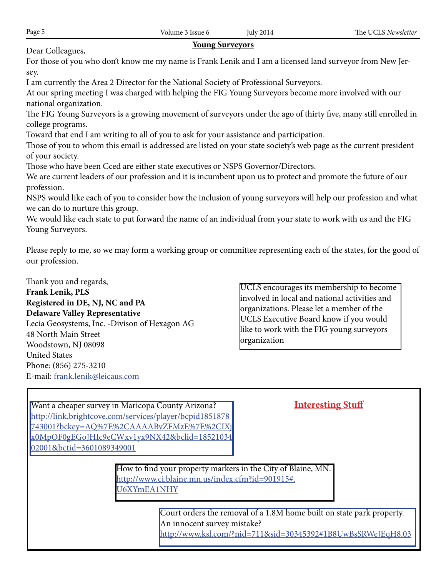# **Young Surveyors**

Dear Colleagues,

For those of you who don't know me my name is Frank Lenik and I am a licensed land surveyor from New Jersey.

I am currently the Area 2 Director for the National Society of Professional Surveyors.

At our spring meeting I was charged with helping the FIG Young Surveyors become more involved with our national organization.

The FIG Young Surveyors is a growing movement of surveyors under the ago of thirty five, many still enrolled in college programs.

Toward that end I am writing to all of you to ask for your assistance and participation.

Those of you to whom this email is addressed are listed on your state society's web page as the current president of your society.

Those who have been Cced are either state executives or NSPS Governor/Directors.

We are current leaders of our profession and it is incumbent upon us to protect and promote the future of our profession.

NSPS would like each of you to consider how the inclusion of young surveyors will help our profession and what we can do to nurture this group.

We would like each state to put forward the name of an individual from your state to work with us and the FIG Young Surveyors.

Please reply to me, so we may form a working group or committee representing each of the states, for the good of our profession.

Thank you and regards, **Frank Lenik, PLS Registered in DE, NJ, NC and PA Delaware Valley Representative** Lecia Geosystems, Inc. -Divison of Hexagon AG 48 North Main Street Woodstown, NJ 08098 United States Phone: (856) 275-3210

E-mail: frank.lenik@leicaus.com

UCLS encourages its membership to become involved in local and national activities and organizations. Please let a member of the UCLS Executive Board know if you would like to work with the FIG young surveyors organization

| Want a cheaper survey in Maricopa County Arizona?                     | <b>Interesting Stuff</b> |  |
|-----------------------------------------------------------------------|--------------------------|--|
| http://link.brightcove.com/services/player/bcpid1851878               |                          |  |
| 743001?bckey=AQ%7E%2CAAAABvZFMzE%7E%2CIXj                             |                          |  |
| x0MpOF0gEGoJHIc9eCWxv1yx9NX42&bclid=18521034                          |                          |  |
| 02001&bctid=3601089349001                                             |                          |  |
|                                                                       |                          |  |
| How to find your property markers in the City of Blaine, MN.          |                          |  |
| http://www.ci.blaine.mn.us/index.cfm?id=901915#.                      |                          |  |
| U6XYmEA1NHY                                                           |                          |  |
|                                                                       |                          |  |
|                                                                       |                          |  |
| Court orders the removal of a 1.8M home built on state park property. |                          |  |
| An innocent survey mistake?                                           |                          |  |
| http://www.ksl.com/?nid=711&sid=30345392#1B8UwBsSRWeJEqH8.03          |                          |  |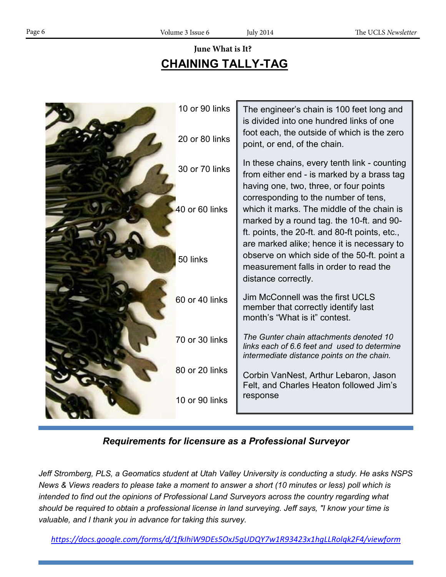# **CHAINING TALLY-TAG June What is It?**

| 10 or 90 links | The engineer's chain is 100 feet long and<br>is divided into one hundred links of one<br>foot each, the outside of which is the zero                                                                                        |
|----------------|-----------------------------------------------------------------------------------------------------------------------------------------------------------------------------------------------------------------------------|
| 20 or 80 links | point, or end, of the chain.                                                                                                                                                                                                |
| 30 or 70 links | In these chains, every tenth link - counting<br>from either end - is marked by a brass tag                                                                                                                                  |
| 40 or 60 links | having one, two, three, or four points<br>corresponding to the number of tens,<br>which it marks. The middle of the chain is<br>marked by a round tag. the 10-ft. and 90-<br>ft. points, the 20-ft. and 80-ft points, etc., |
| 50 links       | are marked alike; hence it is necessary to<br>observe on which side of the 50-ft. point a<br>measurement falls in order to read the<br>distance correctly.                                                                  |
| 60 or 40 links | Jim McConnell was the first UCLS<br>member that correctly identify last<br>month's "What is it" contest.                                                                                                                    |
| 70 or 30 links | The Gunter chain attachments denoted 10<br>links each of 6.6 feet and used to determine<br>intermediate distance points on the chain.                                                                                       |
| 80 or 20 links | Corbin VanNest, Arthur Lebaron, Jason<br>Felt, and Charles Heaton followed Jim's                                                                                                                                            |
| 10 or 90 links | response                                                                                                                                                                                                                    |

# *Requirements for licensure as a Professional Surveyor*

*Jeff Stromberg, PLS, a Geomatics student at Utah Valley University is conducting a study. He asks NSPS News & Views readers to please take a moment to answer a short (10 minutes or less) poll which is intended to find out the opinions of Professional Land Surveyors across the country regarding what should be required to obtain a professional license in land surveying. Jeff says, "I know your time is valuable, and I thank you in advance for taking this survey.*

*https://docs.google.com/forms/d/1fkIhiW9DEs5OxJ5gUDQY7w1R93423x1hgLLRolqk2F4/viewform*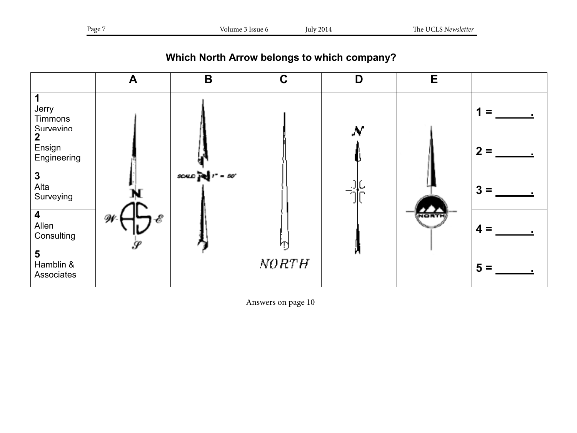**Which North Arrow belongs to which company?**



Answers on page 10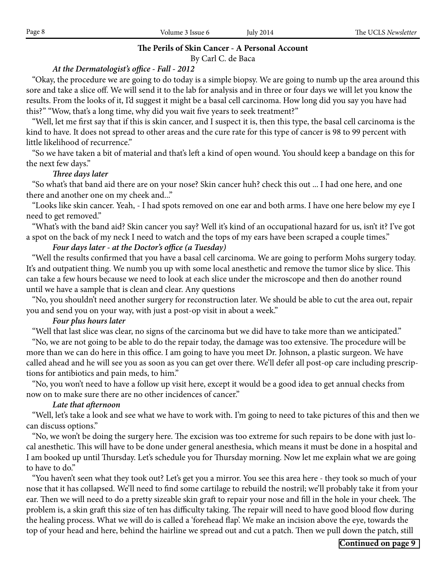# **The Perils of Skin Cancer - A Personal Account**

By Carl C. de Baca

# *At the Dermatologist's office - Fall - 2012*

 "Okay, the procedure we are going to do today is a simple biopsy. We are going to numb up the area around this sore and take a slice off. We will send it to the lab for analysis and in three or four days we will let you know the results. From the looks of it, I'd suggest it might be a basal cell carcinoma. How long did you say you have had this?" "Wow, that's a long time, why did you wait five years to seek treatment?"

 "Well, let me first say that if this is skin cancer, and I suspect it is, then this type, the basal cell carcinoma is the kind to have. It does not spread to other areas and the cure rate for this type of cancer is 98 to 99 percent with little likelihood of recurrence."

 "So we have taken a bit of material and that's left a kind of open wound. You should keep a bandage on this for the next few days."

# *Three days later*

 "So what's that band aid there are on your nose? Skin cancer huh? check this out ... I had one here, and one there and another one on my cheek and..."

 "Looks like skin cancer. Yeah, - I had spots removed on one ear and both arms. I have one here below my eye I need to get removed."

 "What's with the band aid? Skin cancer you say? Well it's kind of an occupational hazard for us, isn't it? I've got a spot on the back of my neck I need to watch and the tops of my ears have been scraped a couple times."

# *Four days later - at the Doctor's office (a Tuesday)*

"Well the results confirmed that you have a basal cell carcinoma. We are going to perform Mohs surgery today. It's and outpatient thing. We numb you up with some local anesthetic and remove the tumor slice by slice. This can take a few hours because we need to look at each slice under the microscope and then do another round until we have a sample that is clean and clear. Any questions

 "No, you shouldn't need another surgery for reconstruction later. We should be able to cut the area out, repair you and send you on your way, with just a post-op visit in about a week."

# *Four plus hours later*

"Well that last slice was clear, no signs of the carcinoma but we did have to take more than we anticipated."

 "No, we are not going to be able to do the repair today, the damage was too extensive. The procedure will be more than we can do here in this office. I am going to have you meet Dr. Johnson, a plastic surgeon. We have called ahead and he will see you as soon as you can get over there. We'll defer all post-op care including prescriptions for antibiotics and pain meds, to him."

 "No, you won't need to have a follow up visit here, except it would be a good idea to get annual checks from now on to make sure there are no other incidences of cancer."

# *Late that afternoon*

 "Well, let's take a look and see what we have to work with. I'm going to need to take pictures of this and then we can discuss options."

 "No, we won't be doing the surgery here. The excision was too extreme for such repairs to be done with just local anesthetic. This will have to be done under general anesthesia, which means it must be done in a hospital and I am booked up until Thursday. Let's schedule you for Thursday morning. Now let me explain what we are going to have to do."

 "You haven't seen what they took out? Let's get you a mirror. You see this area here - they took so much of your nose that it has collapsed. We'll need to find some cartilage to rebuild the nostril; we'll probably take it from your ear. Then we will need to do a pretty sizeable skin graft to repair your nose and fill in the hole in your cheek. The problem is, a skin graft this size of ten has difficulty taking. The repair will need to have good blood flow during the healing process. What we will do is called a 'forehead flap'. We make an incision above the eye, towards the top of your head and here, behind the hairline we spread out and cut a patch. Then we pull down the patch, still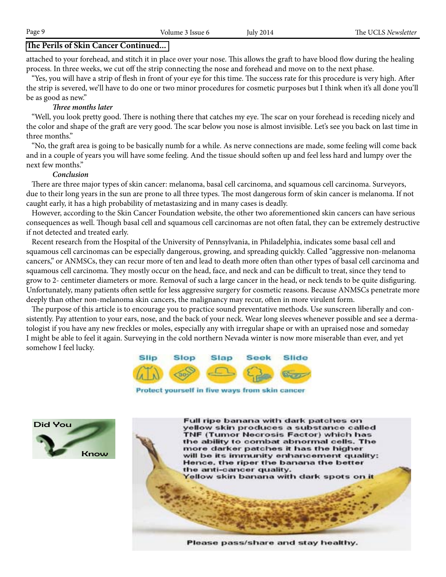### **The Perils of Skin Cancer Continued...**

attached to your forehead, and stitch it in place over your nose. This allows the graft to have blood flow during the healing process. In three weeks, we cut off the strip connecting the nose and forehead and move on to the next phase.

 "Yes, you will have a strip of flesh in front of your eye for this time. The success rate for this procedure is very high. After the strip is severed, we'll have to do one or two minor procedures for cosmetic purposes but I think when it's all done you'll be as good as new."

### *Three months later*

 "Well, you look pretty good. There is nothing there that catches my eye. The scar on your forehead is receding nicely and the color and shape of the graft are very good. The scar below you nose is almost invisible. Let's see you back on last time in three months."

 "No, the graft area is going to be basically numb for a while. As nerve connections are made, some feeling will come back and in a couple of years you will have some feeling. And the tissue should soften up and feel less hard and lumpy over the next few months."

### *Conclusion*

 There are three major types of skin cancer: melanoma, basal cell carcinoma, and squamous cell carcinoma. Surveyors, due to their long years in the sun are prone to all three types. The most dangerous form of skin cancer is melanoma. If not caught early, it has a high probability of metastasizing and in many cases is deadly.

 However, according to the Skin Cancer Foundation website, the other two aforementioned skin cancers can have serious consequences as well. Though basal cell and squamous cell carcinomas are not often fatal, they can be extremely destructive if not detected and treated early.

 Recent research from the Hospital of the University of Pennsylvania, in Philadelphia, indicates some basal cell and squamous cell carcinomas can be especially dangerous, growing, and spreading quickly. Called "aggressive non-melanoma" cancers," or ANMSCs, they can recur more of ten and lead to death more often than other types of basal cell carcinoma and squamous cell carcinoma. They mostly occur on the head, face, and neck and can be difficult to treat, since they tend to grow to 2- centimeter diameters or more. Removal of such a large cancer in the head, or neck tends to be quite disfiguring. Unfortunately, many patients often settle for less aggressive surgery for cosmetic reasons. Because ANMSCs penetrate more deeply than other non-melanoma skin cancers, the malignancy may recur, often in more virulent form.

The purpose of this article is to encourage you to practice sound preventative methods. Use sunscreen liberally and consistently. Pay attention to your ears, nose, and the back of your neck. Wear long sleeves whenever possible and see a dermatologist if you have any new freckles or moles, especially any with irregular shape or with an upraised nose and someday I might be able to feel it again. Surveying in the cold northern Nevada winter is now more miserable than ever, and yet somehow I feel lucky.



Protect yourself in five ways from skin cancer





Please pass/share and stay healthy.